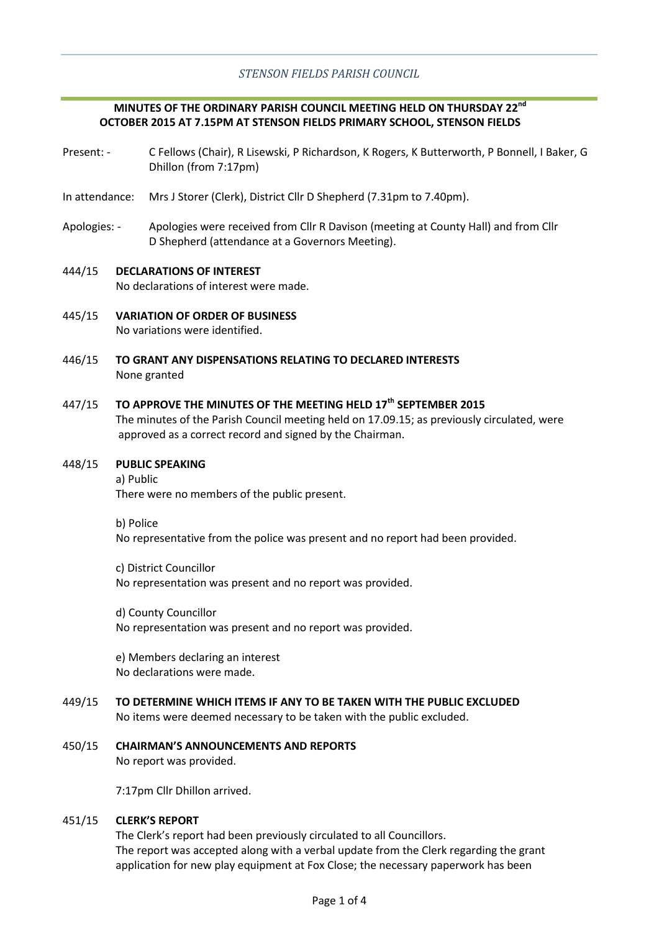## **MINUTES OF THE ORDINARY PARISH COUNCIL MEETING HELD ON THURSDAY 22nd OCTOBER 2015 AT 7.15PM AT STENSON FIELDS PRIMARY SCHOOL, STENSON FIELDS**

- Present: C Fellows (Chair), R Lisewski, P Richardson, K Rogers, K Butterworth, P Bonnell, I Baker, G Dhillon (from 7:17pm)
- In attendance: Mrs J Storer (Clerk), District Cllr D Shepherd (7.31pm to 7.40pm).
- Apologies: Apologies were received from Cllr R Davison (meeting at County Hall) and from Cllr D Shepherd (attendance at a Governors Meeting).

### 444/15 **DECLARATIONS OF INTEREST** No declarations of interest were made.

- 445/15 **VARIATION OF ORDER OF BUSINESS** No variations were identified.
- 446/15 **TO GRANT ANY DISPENSATIONS RELATING TO DECLARED INTERESTS** None granted

#### 447/15 **TO APPROVE THE MINUTES OF THE MEETING HELD 17th SEPTEMBER 2015**

The minutes of the Parish Council meeting held on 17.09.15; as previously circulated, were approved as a correct record and signed by the Chairman.

#### 448/15 **PUBLIC SPEAKING**

a) Public There were no members of the public present.

b) Police

No representative from the police was present and no report had been provided.

c) District Councillor No representation was present and no report was provided.

d) County Councillor No representation was present and no report was provided.

e) Members declaring an interest No declarations were made.

- 449/15 **TO DETERMINE WHICH ITEMS IF ANY TO BE TAKEN WITH THE PUBLIC EXCLUDED** No items were deemed necessary to be taken with the public excluded.
- 450/15 **CHAIRMAN'S ANNOUNCEMENTS AND REPORTS** No report was provided.

7:17pm Cllr Dhillon arrived.

#### 451/15 **CLERK'S REPORT**

The Clerk's report had been previously circulated to all Councillors. The report was accepted along with a verbal update from the Clerk regarding the grant application for new play equipment at Fox Close; the necessary paperwork has been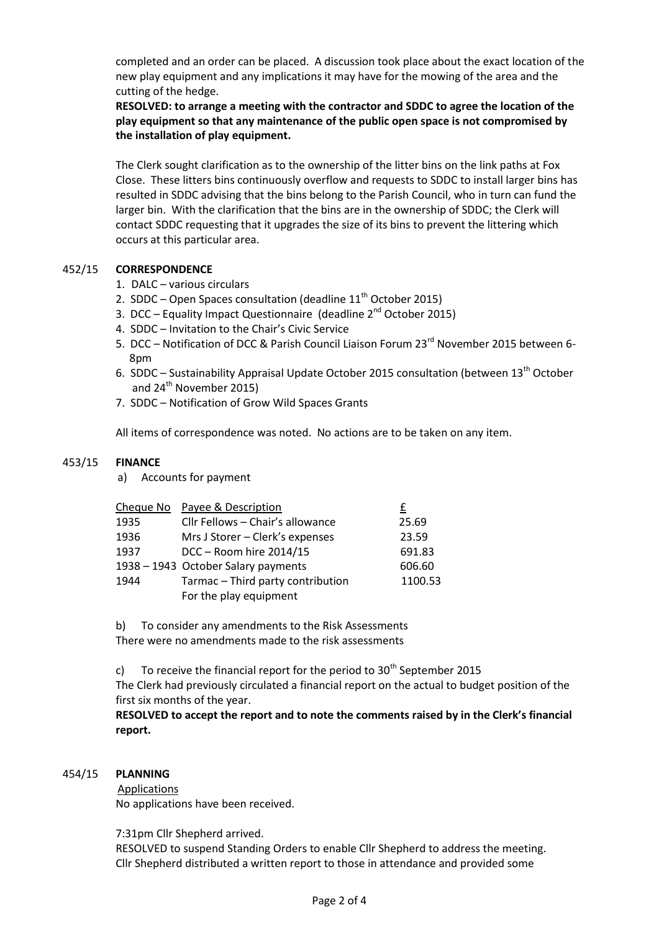completed and an order can be placed. A discussion took place about the exact location of the new play equipment and any implications it may have for the mowing of the area and the cutting of the hedge.

**RESOLVED: to arrange a meeting with the contractor and SDDC to agree the location of the play equipment so that any maintenance of the public open space is not compromised by the installation of play equipment.**

The Clerk sought clarification as to the ownership of the litter bins on the link paths at Fox Close. These litters bins continuously overflow and requests to SDDC to install larger bins has resulted in SDDC advising that the bins belong to the Parish Council, who in turn can fund the larger bin. With the clarification that the bins are in the ownership of SDDC; the Clerk will contact SDDC requesting that it upgrades the size of its bins to prevent the littering which occurs at this particular area.

#### 452/15 **CORRESPONDENCE**

- 1. DALC various circulars
- 2. SDDC Open Spaces consultation (deadline  $11<sup>th</sup>$  October 2015)
- 3. DCC Equality Impact Questionnaire (deadline 2<sup>nd</sup> October 2015)
- 4. SDDC Invitation to the Chair's Civic Service
- 5. DCC Notification of DCC & Parish Council Liaison Forum 23<sup>rd</sup> November 2015 between 6-8pm
- 6. SDDC Sustainability Appraisal Update October 2015 consultation (between  $13<sup>th</sup>$  October and 24<sup>th</sup> November 2015)
- 7. SDDC Notification of Grow Wild Spaces Grants

All items of correspondence was noted. No actions are to be taken on any item.

#### 453/15 **FINANCE**

a) Accounts for payment

| Cheque No Payee & Description                               | £       |
|-------------------------------------------------------------|---------|
| Cllr Fellows - Chair's allowance                            | 25.69   |
| Mrs J Storer - Clerk's expenses                             | 23.59   |
| DCC - Room hire 2014/15                                     | 691.83  |
| 1938 - 1943 October Salary payments                         | 606.60  |
| Tarmac - Third party contribution<br>For the play equipment | 1100.53 |
|                                                             |         |

b) To consider any amendments to the Risk Assessments There were no amendments made to the risk assessments

c) To receive the financial report for the period to  $30<sup>th</sup>$  September 2015

The Clerk had previously circulated a financial report on the actual to budget position of the first six months of the year.

**RESOLVED to accept the report and to note the comments raised by in the Clerk's financial report.**

#### 454/15 **PLANNING**

**Applications** No applications have been received.

7:31pm Cllr Shepherd arrived.

RESOLVED to suspend Standing Orders to enable Cllr Shepherd to address the meeting. Cllr Shepherd distributed a written report to those in attendance and provided some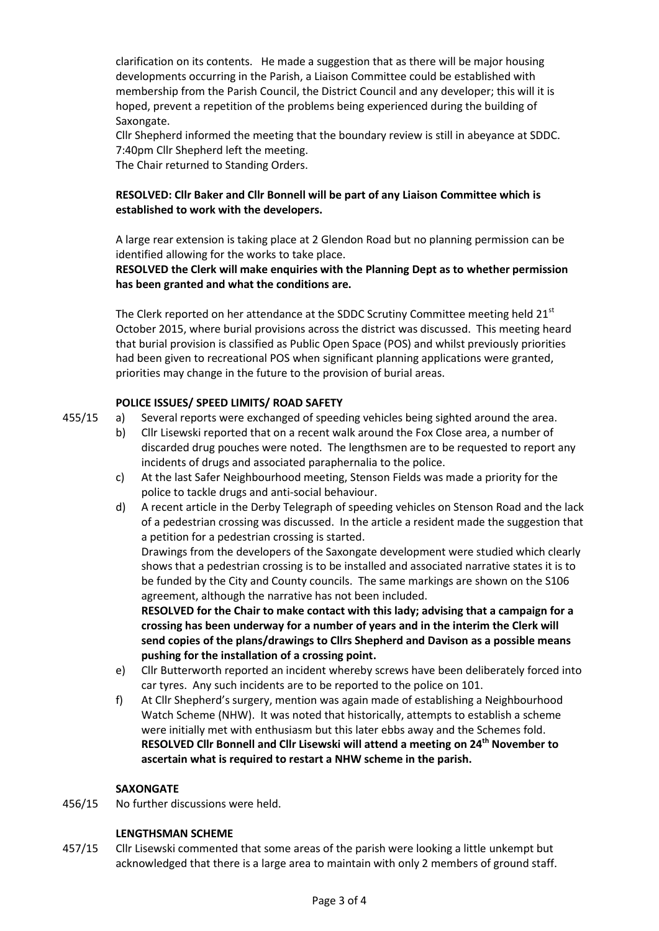clarification on its contents. He made a suggestion that as there will be major housing developments occurring in the Parish, a Liaison Committee could be established with membership from the Parish Council, the District Council and any developer; this will it is hoped, prevent a repetition of the problems being experienced during the building of Saxongate.

Cllr Shepherd informed the meeting that the boundary review is still in abeyance at SDDC. 7:40pm Cllr Shepherd left the meeting.

The Chair returned to Standing Orders.

# **RESOLVED: Cllr Baker and Cllr Bonnell will be part of any Liaison Committee which is established to work with the developers.**

A large rear extension is taking place at 2 Glendon Road but no planning permission can be identified allowing for the works to take place.

## **RESOLVED the Clerk will make enquiries with the Planning Dept as to whether permission has been granted and what the conditions are.**

The Clerk reported on her attendance at the SDDC Scrutiny Committee meeting held  $21<sup>st</sup>$ October 2015, where burial provisions across the district was discussed. This meeting heard that burial provision is classified as Public Open Space (POS) and whilst previously priorities had been given to recreational POS when significant planning applications were granted, priorities may change in the future to the provision of burial areas.

## **POLICE ISSUES/ SPEED LIMITS/ ROAD SAFETY**

- 455/15 a) Several reports were exchanged of speeding vehicles being sighted around the area.
	- b) Cllr Lisewski reported that on a recent walk around the Fox Close area, a number of discarded drug pouches were noted. The lengthsmen are to be requested to report any incidents of drugs and associated paraphernalia to the police.
	- c) At the last Safer Neighbourhood meeting, Stenson Fields was made a priority for the police to tackle drugs and anti-social behaviour.
	- d) A recent article in the Derby Telegraph of speeding vehicles on Stenson Road and the lack of a pedestrian crossing was discussed. In the article a resident made the suggestion that a petition for a pedestrian crossing is started.

Drawings from the developers of the Saxongate development were studied which clearly shows that a pedestrian crossing is to be installed and associated narrative states it is to be funded by the City and County councils. The same markings are shown on the S106 agreement, although the narrative has not been included.

**RESOLVED for the Chair to make contact with this lady; advising that a campaign for a crossing has been underway for a number of years and in the interim the Clerk will send copies of the plans/drawings to Cllrs Shepherd and Davison as a possible means pushing for the installation of a crossing point.**

- e) Cllr Butterworth reported an incident whereby screws have been deliberately forced into car tyres. Any such incidents are to be reported to the police on 101.
- f) At Cllr Shepherd's surgery, mention was again made of establishing a Neighbourhood Watch Scheme (NHW). It was noted that historically, attempts to establish a scheme were initially met with enthusiasm but this later ebbs away and the Schemes fold. **RESOLVED Cllr Bonnell and Cllr Lisewski will attend a meeting on 24th November to ascertain what is required to restart a NHW scheme in the parish.**

## **SAXONGATE**

456/15 No further discussions were held.

## **LENGTHSMAN SCHEME**

457/15 Cllr Lisewski commented that some areas of the parish were looking a little unkempt but acknowledged that there is a large area to maintain with only 2 members of ground staff.